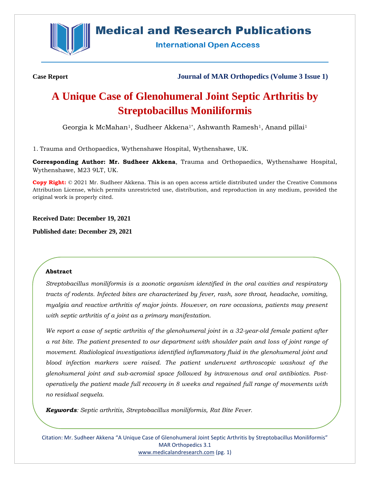

## **Medical and Research Publications**

**International Open Access** 

**Case Report Journal of MAR Orthopedics (Volume 3 Issue 1)**

# **A Unique Case of Glenohumeral Joint Septic Arthritis by Streptobacillus Moniliformis**

Georgia k McMahan<sup>1</sup>, Sudheer Akkena<sup>1\*</sup>, Ashwanth Ramesh<sup>1</sup>, Anand pillai<sup>1</sup>

1. Trauma and Orthopaedics, Wythenshawe Hospital, Wythenshawe, UK.

**Corresponding Author: Mr. Sudheer Akkena**, Trauma and Orthopaedics, Wythenshawe Hospital, Wythenshawe, M23 9LT, UK.

**Copy Right:** © 2021 Mr. Sudheer Akkena. This is an open access article distributed under the Creative Commons Attribution License, which permits unrestricted use, distribution, and reproduction in any medium, provided the original work is properly cited.

**Received Date: December 19, 2021**

**Published date: December 29, 2021**

#### **Abstract**

*Streptobacillus moniliformis is a zoonotic organism identified in the oral cavities and respiratory tracts of rodents. Infected bites are characterized by fever, rash, sore throat, headache, vomiting, myalgia and reactive arthritis of major joints. However, on rare occasions, patients may present with septic arthritis of a joint as a primary manifestation.*

*We report a case of septic arthritis of the glenohumeral joint in a 32-year-old female patient after a rat bite. The patient presented to our department with shoulder pain and loss of joint range of movement. Radiological investigations identified inflammatory fluid in the glenohumeral joint and blood infection markers were raised. The patient underwent arthroscopic washout of the glenohumeral joint and sub-acromial space followed by intravenous and oral antibiotics. Postoperatively the patient made full recovery in 8 weeks and regained full range of movements with no residual sequela.*

*Keywords: Septic arthritis, Streptobacillus moniliformis, Rat Bite Fever.*

Citation: Mr. Sudheer Akkena "A Unique Case of Glenohumeral Joint Septic Arthritis by Streptobacillus Moniliformis" MAR Orthopedics 3.1 [www.medicalandresearch.com](http://www.medicalandresearch.com/) (pg. 1)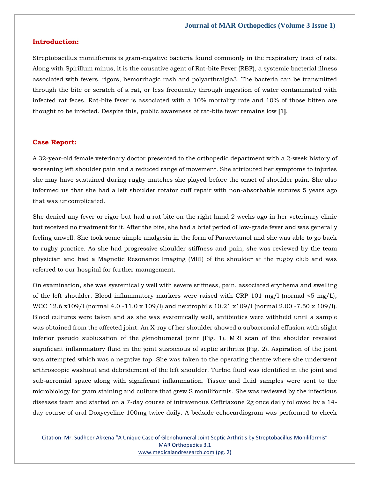#### **Introduction:**

Streptobacillus moniliformis is gram-negative bacteria found commonly in the respiratory tract of rats. Along with Spirillum minus, it is the causative agent of Rat-bite Fever (RBF), a systemic bacterial illness associated with fevers, rigors, hemorrhagic rash and polyarthralgia3. The bacteria can be transmitted through the bite or scratch of a rat, or less frequently through ingestion of water contaminated with infected rat feces. Rat-bite fever is associated with a 10% mortality rate and 10% of those bitten are thought to be infected. Despite this, public awareness of rat-bite fever remains low **[**1**]**.

#### **Case Report:**

A 32-year-old female veterinary doctor presented to the orthopedic department with a 2-week history of worsening left shoulder pain and a reduced range of movement. She attributed her symptoms to injuries she may have sustained during rugby matches she played before the onset of shoulder pain. She also informed us that she had a left shoulder rotator cuff repair with non-absorbable sutures 5 years ago that was uncomplicated.

She denied any fever or rigor but had a rat bite on the right hand 2 weeks ago in her veterinary clinic but received no treatment for it. After the bite, she had a brief period of low-grade fever and was generally feeling unwell. She took some simple analgesia in the form of Paracetamol and she was able to go back to rugby practice. As she had progressive shoulder stiffness and pain, she was reviewed by the team physician and had a Magnetic Resonance Imaging (MRI) of the shoulder at the rugby club and was referred to our hospital for further management.

On examination, she was systemically well with severe stiffness, pain, associated erythema and swelling of the left shoulder. Blood inflammatory markers were raised with CRP 101 mg/l (normal  $\leq 5 \text{ mg/L}$ ), WCC 12.6 x109/l (normal 4.0 -11.0 x 109/l) and neutrophils 10.21 x109/l (normal 2.00 -7.50 x 109/l). Blood cultures were taken and as she was systemically well, antibiotics were withheld until a sample was obtained from the affected joint. An X-ray of her shoulder showed a subacromial effusion with slight inferior pseudo subluxation of the glenohumeral joint (Fig. 1). MRI scan of the shoulder revealed significant inflammatory fluid in the joint suspicious of septic arthritis (Fig. 2). Aspiration of the joint was attempted which was a negative tap. She was taken to the operating theatre where she underwent arthroscopic washout and debridement of the left shoulder. Turbid fluid was identified in the joint and sub-acromial space along with significant inflammation. Tissue and fluid samples were sent to the microbiology for gram staining and culture that grew S moniliformis. She was reviewed by the infectious diseases team and started on a 7-day course of intravenous Ceftriaxone 2g once daily followed by a 14 day course of oral Doxycycline 100mg twice daily. A bedside echocardiogram was performed to check

Citation: Mr. Sudheer Akkena "A Unique Case of Glenohumeral Joint Septic Arthritis by Streptobacillus Moniliformis" MAR Orthopedics 3.1 [www.medicalandresearch.com](http://www.medicalandresearch.com/) (pg. 2)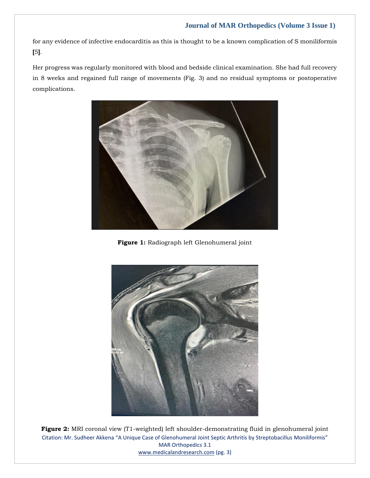## **Journal of MAR Orthopedics (Volume 3 Issue 1)**

for any evidence of infective endocarditis as this is thought to be a known complication of S moniliformis **[**5**]**.

Her progress was regularly monitored with blood and bedside clinical examination. She had full recovery in 8 weeks and regained full range of movements (Fig. 3) and no residual symptoms or postoperative complications.



**Figure 1:** Radiograph left Glenohumeral joint



Citation: Mr. Sudheer Akkena "A Unique Case of Glenohumeral Joint Septic Arthritis by Streptobacillus Moniliformis" MAR Orthopedics 3.1 [www.medicalandresearch.com](http://www.medicalandresearch.com/) (pg. 3) **Figure 2:** MRI coronal view (T1-weighted) left shoulder-demonstrating fluid in glenohumeral joint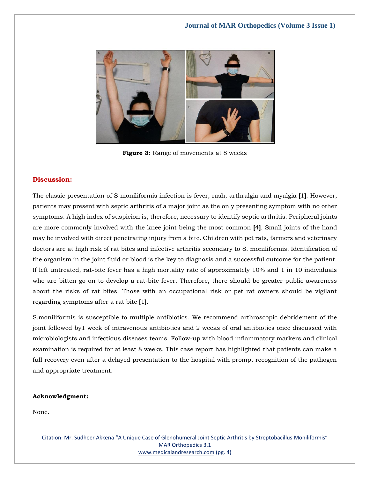

**Figure 3:** Range of movements at 8 weeks

## **Discussion:**

The classic presentation of S moniliformis infection is fever, rash, arthralgia and myalgia **[**1**]**. However, patients may present with septic arthritis of a major joint as the only presenting symptom with no other symptoms. A high index of suspicion is, therefore, necessary to identify septic arthritis. Peripheral joints are more commonly involved with the knee joint being the most common **[**4**]**. Small joints of the hand may be involved with direct penetrating injury from a bite. Children with pet rats, farmers and veterinary doctors are at high risk of rat bites and infective arthritis secondary to S. moniliformis. Identification of the organism in the joint fluid or blood is the key to diagnosis and a successful outcome for the patient. If left untreated, rat-bite fever has a high mortality rate of approximately 10% and 1 in 10 individuals who are bitten go on to develop a rat-bite fever. Therefore, there should be greater public awareness about the risks of rat bites. Those with an occupational risk or pet rat owners should be vigilant regarding symptoms after a rat bite **[**1**]**.

S.moniliformis is susceptible to multiple antibiotics. We recommend arthroscopic debridement of the joint followed by1 week of intravenous antibiotics and 2 weeks of oral antibiotics once discussed with microbiologists and infectious diseases teams. Follow-up with blood inflammatory markers and clinical examination is required for at least 8 weeks. This case report has highlighted that patients can make a full recovery even after a delayed presentation to the hospital with prompt recognition of the pathogen and appropriate treatment.

#### **Acknowledgment:**

None.

Citation: Mr. Sudheer Akkena "A Unique Case of Glenohumeral Joint Septic Arthritis by Streptobacillus Moniliformis" MAR Orthopedics 3.1 [www.medicalandresearch.com](http://www.medicalandresearch.com/) (pg. 4)